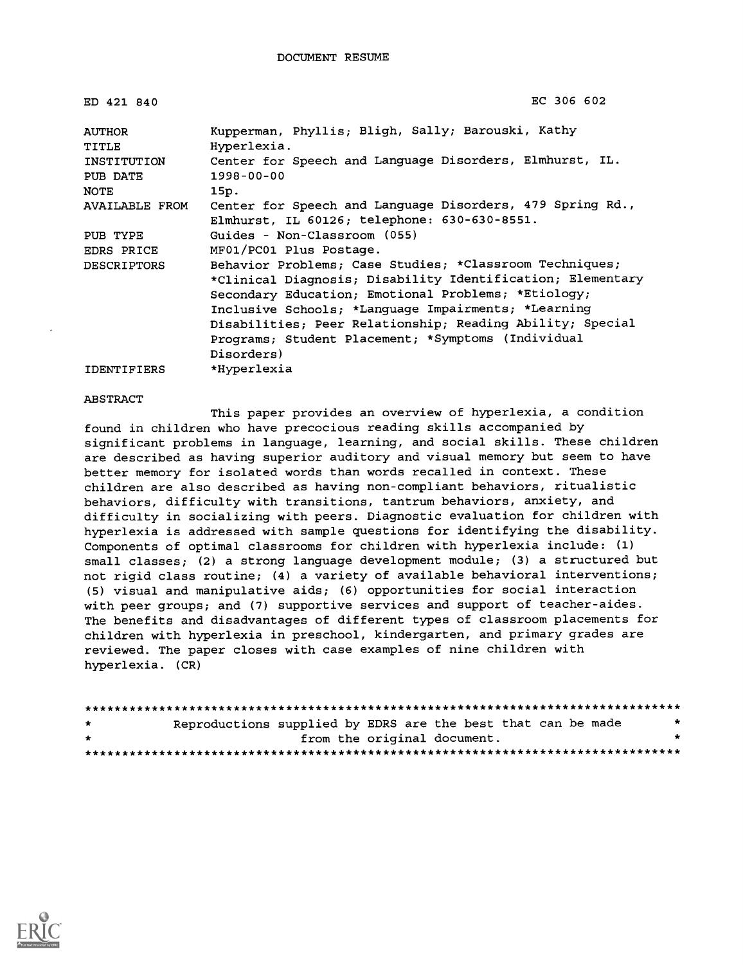| ED 421 840         | EC 306 602                                                 |
|--------------------|------------------------------------------------------------|
| <b>AUTHOR</b>      | Kupperman, Phyllis; Bligh, Sally; Barouski, Kathy          |
| TITLE              | Hyperlexia.                                                |
| INSTITUTION        | Center for Speech and Language Disorders, Elmhurst, IL.    |
| PUB DATE           | $1998 - 00 - 00$                                           |
| <b>NOTE</b>        | 15p.                                                       |
| AVAILABLE FROM     | Center for Speech and Language Disorders, 479 Spring Rd.,  |
|                    | Elmhurst, IL 60126; telephone: 630-630-8551.               |
| PUB TYPE           | Guides - Non-Classroom (055)                               |
| <b>EDRS PRICE</b>  | MF01/PC01 Plus Postage.                                    |
| <b>DESCRIPTORS</b> | Behavior Problems; Case Studies; *Classroom Techniques;    |
|                    | *Clinical Diagnosis; Disability Identification; Elementary |
|                    | Secondary Education; Emotional Problems; *Etiology;        |
|                    | Inclusive Schools; *Language Impairments; *Learning        |
|                    | Disabilities; Peer Relationship; Reading Ability; Special  |
|                    | Programs; Student Placement; *Symptoms (Individual         |
|                    | Disorders)                                                 |
| <b>IDENTIFIERS</b> | *Hyperlexia                                                |

#### ABSTRACT

This paper provides an overview of hyperlexia, a condition found in children who have precocious reading skills accompanied by significant problems in language, learning, and social skills. These children are described as having superior auditory and visual memory but seem to have better memory for isolated words than words recalled in context. These children are also described as having non-compliant behaviors, ritualistic behaviors, difficulty with transitions, tantrum behaviors, anxiety, and difficulty in socializing with peers. Diagnostic evaluation for children with hyperlexia is addressed with sample questions for identifying the disability. Components of optimal classrooms for children with hyperlexia include: (1) small classes; (2) a strong language development module; (3) a structured but not rigid class routine; (4) a variety of available behavioral interventions; (5) visual and manipulative aids; (6) opportunities for social interaction with peer groups; and (7) supportive services and support of teacher-aides. The benefits and disadvantages of different types of classroom placements for children with hyperlexia in preschool, kindergarten, and primary grades are reviewed. The paper closes with case examples of nine children with hyperlexia. (CR)

| $\star$ | Reproductions supplied by EDRS are the best that can be made |  |                             |  | $\star$ |
|---------|--------------------------------------------------------------|--|-----------------------------|--|---------|
| $\star$ |                                                              |  | from the original document. |  |         |
|         |                                                              |  |                             |  |         |

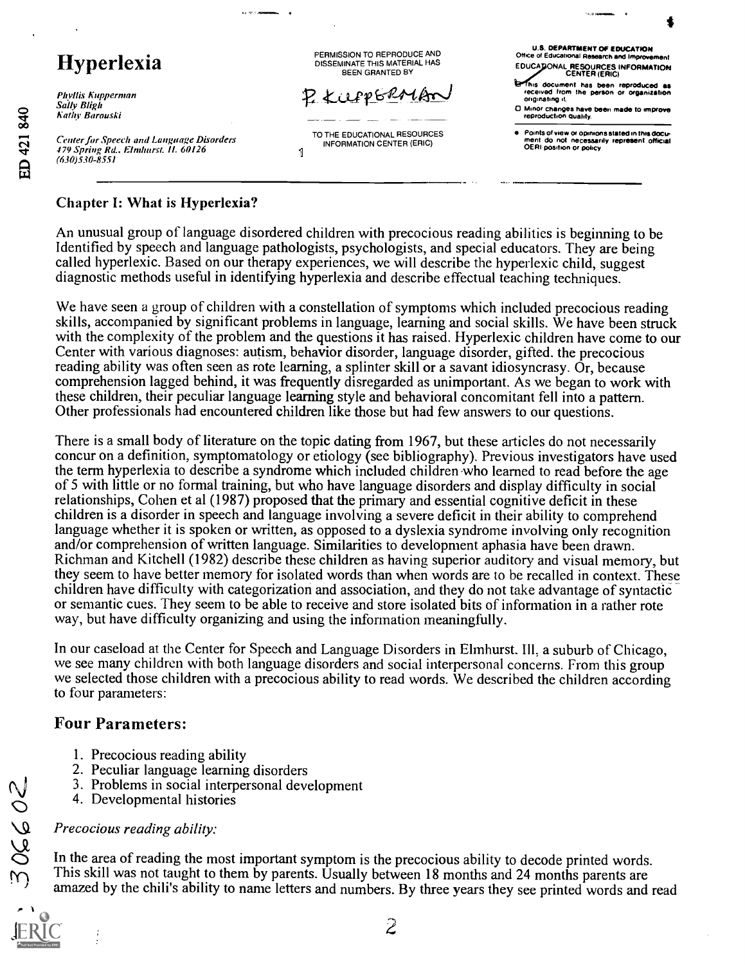## Hyperlexia

Phyllis Kupperman Sally Bligh Nally Rarouski

Center for Speech and Language Disorders 479 Spring Rd.. Elnthurst. II. 60126 (630)530-8551 <sup>1</sup>

PERMISSION TO REPRODUCE AND DISSEMINATE THIS MATERIAL HAS BEEN GRANTED BY

P. KUPPGRALAR

TO THE EDUCATIONAL RESOURCES INFORMATION CENTER (ERIC)

U.S. DEPARTMENT OF EDUCATION Office of Educational Research and Impr EDUCA DONAL RESOURCES INFORMATION<br>CENTER (ERIC) This document has been reproduced as<br>received from the person or organization originating it.

0 Minor changes have been made to improve reproduction guahty

Points of view or opinions stated in this doCu . ment do not necessarily represent official OERI position or policy

### Chapter I: What is Hyperlexia?

An unusual group of language disordered children with precocious reading abilities is beginning to be Identified by speech and language pathologists, psychologists, and special educators. They are being called hyperlexic. Based on our therapy experiences, we will describe the hyperlexic child, suggest diagnostic methods useful in identifying hyperlexia and describe effectual teaching techniques.

We have seen a group of children with a constellation of symptoms which included precocious reading skills, accompanied by significant problems in language, learning and social skills. We have been struck with the complexity of the problem and the questions it has raised. Hyperlexic children have come to our Center with various diagnoses: autism, behavior disorder, language disorder, gifted. the precocious reading ability was often seen as rote learning, a splinter skill or a savant idiosyncrasy. Or, because comprehension lagged behind, it was frequently disregarded as unimportant. As we began to work with these children, their peculiar language learning style and behavioral concomitant fell into a pattern. Other professionals had encountered children like those but had few answers to our questions.

There is a small body of literature on the topic dating from 1967, but these articles do not necessarily concur on a definition, symptomatology or etiology (see bibliography). Previous investigators have used the term hyperlexia to describe a syndrome which included children-who learned to read before the age of 5 with little or no formal training, but who have language disorders and display difficulty in social relationships, Cohen et al (1987) proposed that the primary and essential cognitive deficit in these children is a disorder in speech and language involving a severe deficit in their ability to comprehend language whether it is spoken or written, as opposed to a dyslexia syndrome involving only recognition and/or comprehension of written language. Similarities to development aphasia have been drawn. Richrnan and Kitchell (1982) describe these children as having superior auditory and visual memory, but they seem to have better memory for isolated words than when words are to be recalled in context. These children have difficulty with categorization and association, and they do not take advantage of syntactic or semantic cues. They seem to be able to receive and store isolated bits of information in a rather rote way, but have difficulty organizing and using the information meaningfully.

In our caseload at the Center for Speech and Language Disorders in Elmhurst. Ill, a suburb of Chicago, we see many children with both language disorders and social interpersonal concerns. From this group we selected those children with a precocious ability to read words. We described the children according to four parameters:

### Four Parameters:

- 1. Precocious reading ability
- 2. Peculiar language learning disorders
- 3. Problems in social interpersonal development
- 4. Developmental histories

### Precocious reading ability:

In the area of reading the most important symptom is the precocious ability to decode printed words. This skill was not taught to them by parents. Usually between 18 months and 24 months parents are amazed by the chili's ability to name letters and numbers. By three years they see printed words and read

20930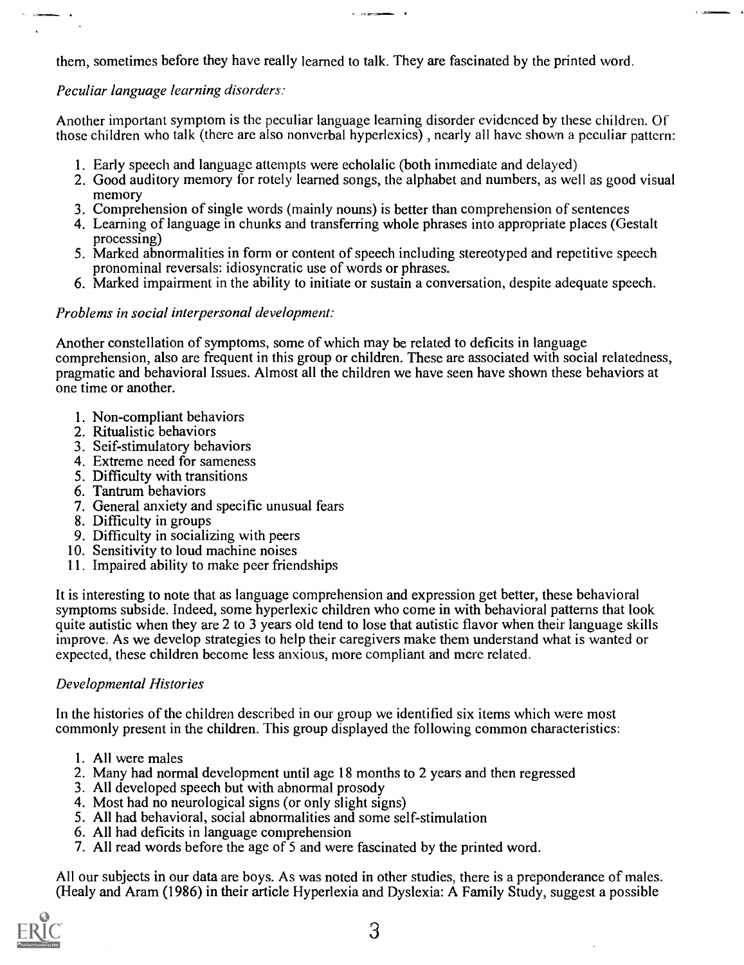them, sometimes before they have really learned to talk. They are fascinated by the printed word.

### Peculiar language learning disorders:

 $\ddot{\phantom{a}}$ 

Another important symptom is the peculiar language learning disorder evidenced by these children. Of those children who talk (there are also nonverbal hyperlexics) , nearly all have shown a peculiar pattern:

- 1. Early speech and language attempts were echolalic (both immediate and delayed)
- 2. Good auditory memory for rotely learned songs, the alphabet and numbers, as well as good visual memory
- 3. Comprehension of single words (mainly nouns) is better than comprehension of sentences
- 4. Learning of language in chunks and transferring whole phrases into appropriate places (Gestalt processing)
- 5. Marked abnormalities in form or content of speech including stereotyped and repetitive speech pronominal reversals: idiosyncratic use of words or phrases.
- 6. Marked impairment in the ability to initiate or sustain a conversation, despite adequate speech.

### Problems in social interpersonal development:

Another constellation of symptoms, some of which may be related to deficits in language comprehension, also are frequent in this group or children. These are associated with social relatedness, pragmatic and behavioral Issues. Almost all the children we have seen have shown these behaviors at one time or another.

- 1. Non-compliant behaviors
- 2. Ritualistic behaviors
- 3. Seif-stimulatory behaviors
- 4. Extreme need for sameness
- 5. Difficulty with transitions
- 6. Tantrum behaviors
- 7. General anxiety and specific unusual fears
- 8. Difficulty in groups
- 9. Difficulty in socializing with peers
- 10. Sensitivity to loud machine noises
- 11. Impaired ability to make peer friendships

It is interesting to note that as language comprehension and exprcssion get better, these behavioral symptoms subside. Indeed, some hyperlexic children who come in with behavioral patterns that look quite autistic when they are 2 to 3 years old tend to lose that autistic flavor when their language skills improve. As we develop strategies to help their caregivers make them understand what is wanted or expected, these children become less anxious, more compliant and mere related.

### Developmental Histories

In the histories of the children described in our group we identified six items which were most commonly present in the children. This group displayed the following common characteristics:

- 1. All were males
- 2. Many had normal development until age 18 months to 2 years and then regressed
- 3. All developed speech but with abnormal prosody
- 4. Most had no neurological signs (or only slight signs)
- 5. All had behavioral, social abnormalities and some self-stimulation
- 6. All had deficits in language comprehension
- 7. All read words before the age of 5 and were fascinated by the printed word.

All our subjects in our data are boys. As was noted in other studies, there is a preponderance of males. (Healy and Aram (1986) in their article Hyperlexia and Dyslexia: A Family Study, suggest a possible

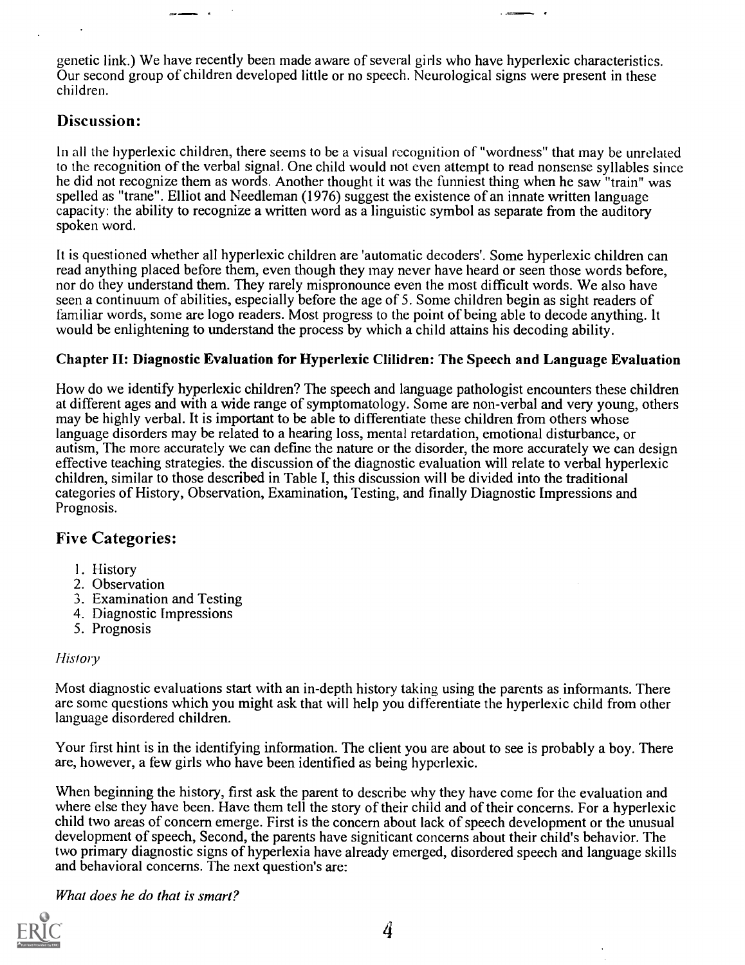genetic link.) We have recently been made aware of several girls who have hyperlexic characteristics. Our second group of children developed little or no speech. Neurological signs were present in these children.

### Discussion:

In all the hyperlexic children, there seems to be a visual recognition of "wordness" that may be unrelated to the recognition of the verbal signal. One child would not even attempt to read nonsense syllables since he did not recognize them as words. Another thought it was the funniest thing when he saw "train" was spelled as "trane". Elliot and Needleman (1976) suggest the existence of an innate written language capacity: the ability to recognize a written word as a linguistic symbol as separate from the auditory spoken word.

It is questioned whether all hyperlexic children are 'automatic decoders'. Some hyperlexic children can read anything placed before them, even though they may never have heard or seen those words before, nor do they understand them. They rarely mispronounce even the most difficult words. We also have seen a continuum of abilities, especially before the age of 5. Some children begin as sight readers of familiar words, some are logo readers. Most progress to the point of being able to decode anything. It would be enlightening to understand the process by which a child attains his decoding ability.

#### Chapter II: Diagnostic Evaluation for Hyperlexic Clilidren: The Speech and Language Evaluation

How do we identify hyperlexic children? The speech and language pathologist encounters these children at different ages and with a wide range of symptomatology. Some are non-verbal and very young, others may be highly verbal. It is important to be able to differentiate these children from others whose language disorders may be related to a hearing loss, mental retardation, emotional disturbance, or autism, The more accurately we can define the nature or the disorder, the more accurately we can design effective teaching strategies. the discussion of the diagnostic evaluation will relate to verbal hyperlexic children, similar to those described in Table I, this discussion will be divided into the traditional categories of History, Observation, Examination, Testing, and finally Diagnostic Impressions and Prognosis.

### Five Categories:

- I. History
- 2. Observation
- 3. Examination and Testing
- 4. Diagnostic Impressions
- 5. Prognosis

#### History

Most diagnostic evaluations start with an in-depth history taking using the parents as informants. There are some questions which you might ask that will help you differentiate the hyperlexic child from other language disordered children.

Your first hint is in the identifying information. The client you are about to see is probably a boy. There are, however, a few girls who have been identified as being hyperlexic.

When beginning the history, first ask the parent to describe why they have come for the evaluation and where else they have been. Have them tell the story of their child and of their concerns. For a hyperlexic child two areas of concern emerge. First is the concern about lack of speech development or the unusual development of speech, Second, the parents have signiticant concerns about their child's behavior. The two primary diagnostic signs of hyperlexia have already emerged, disordered speech and language skills and behavioral concerns. The next question's are:

What does he do that is smart?

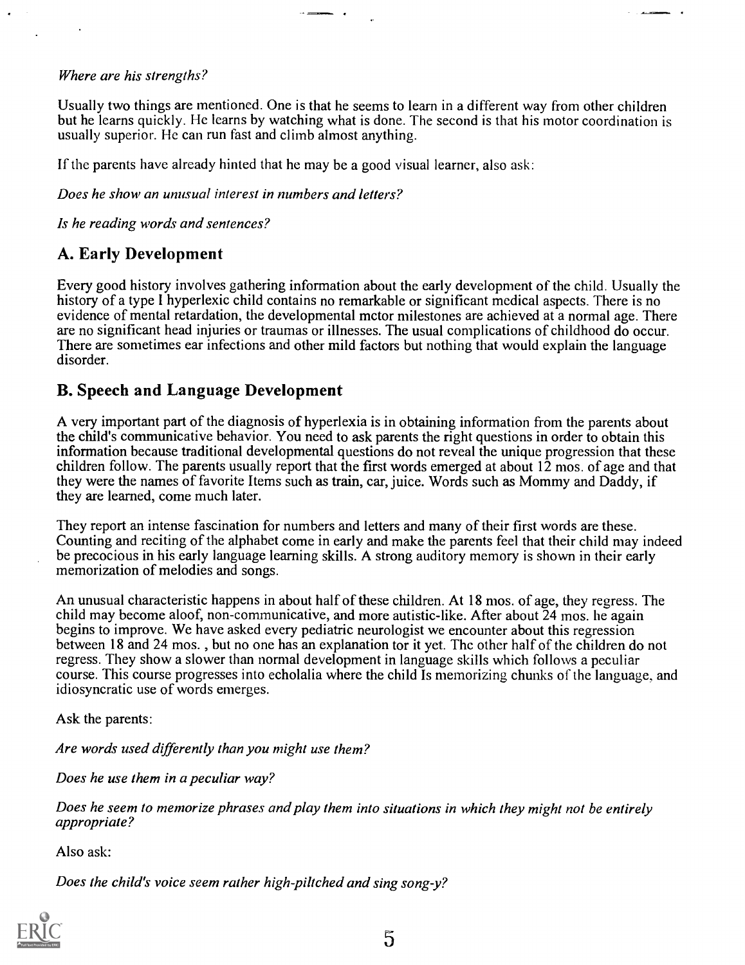#### Where are his strengths?

Usually two things are mentioned. One is that he seems to learn in a different way from other children but he learns quickly. He learns by watching what is done. The second is that his motor coordination is usually superior. He can run fast and climb almost anything.

If the parents have already hinted that he may be a good visual learner, also ask:

Does he show an unusual interest in numbers and letters?

Is he reading words and sentences?

### A. Early Development

Every good history involves gathering information about the early development of the child. Usually the history of a type I hyperlexic child contains no remarkable or significant medical aspects. There is no evidence of mental retardation, the developmental mctor milestones are achieved at a normal age. There are no significant head injuries or traumas or illnesses. The usual complications of childhood do occur. There are sometimes ear infections and other mild factors but nothing that would explain the language disorder.

### B. Speech and Language Development

A very important part of the diagnosis of hyperlexia is in obtaining information from the parents about the child's communicative behavior. You need to ask parents the right questions in order to obtain this information because traditional developmental questions do not reveal the unique progression that these children follow. The parents usually report that the first words emerged at about 12 mos. of age and that they were the names of favorite Items such as train, car, juice. Words such as Mommy and Daddy, if they are learned, come much later.

They report an intense fascination for numbers and letters and many of their first words are these. Counting and reciting of the alphabet come in early and make the parents feel that their child may indeed be precocious in his early language learning skills. A strong auditory memory is shown in their early memorization of melodies and songs.

An unusual characteristic happens in about half of these children. At 18 mos. of age, they regress. The child may become aloof, non-communicative, and more autistic-like. After about 24 mos. he again begins to improve. We have asked every pediatric neurologist we encounter about this regression between 18 and 24 mos. , but no one has an explanation tor it yet. The other half of the children do not regress. They show a slower than normal development in language skills which follows a peculiar course. This course progresses into echolalia where the child Is memorizing chunks of the language, and idiosyncratic use of words emerges.

Ask the parents:

Are words used differently than you might use them?

Does he use them in a peculiar way?

Does he seem to memorize phrases and play them into situations in which they might not be entirely appropriate?

Also ask:

Does the child's voice seem rather high-piltched and sing song-y?

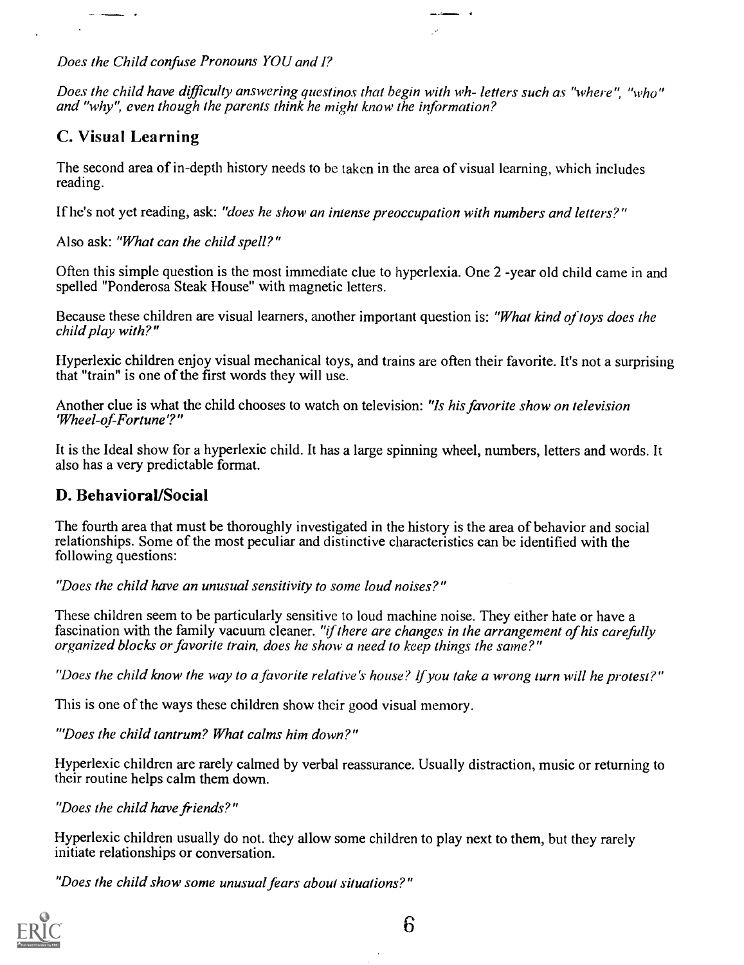Does the Child confuse Pronouns YOU and I?

Does the child have difficulty answering questinos that begin with wh- letters such as "where", "who" and "why", even though the parents think he might know the information?

 $\ddot{\phantom{0}}$ 

### C. Visual Learning

 $\overline{\phantom{a}}$ 

The second area of in-depth history needs to be taken in the area of visual learning, which includes reading.

If he's not yet reading, ask: "does he show an intense preoccupation with numbers and letters?"

Also ask: "What can the child spell?"

Often this simple question is the most immediate clue to hyperlexia. One 2 -year old child came in and spelled "Ponderosa Steak House" with magnetic letters.

Because these children are visual learners, another important question is: "What kind of toys does the child play with?"

Hyperlexic children enjoy visual mechanical toys, and trains are often their favorite. It's not a surprising that "train" is one of the first words they will use.

Another clue is what the child chooses to watch on television: "Is his favorite show on television 'Wheel-of-Fortune'?"

It is the Ideal show for a hyperlexic child. It has a large spinning wheel, numbers, letters and words. It also has a very predictable format.

### D. Behavioral/Social

The fourth area that must be thoroughly investigated in the history is the area of behavior and social relationships. Some of the most peculiar and distinctive characteristics can be identified with the following questions:

"Does the child have an unusual sensitivity to some loud noises?"

These children seem to be particularly sensitive to loud machine noise. They either hate or have a fascination with the family vacuum cleaner. "if there are changes in the arrangement of his carefully organized blocks or favorite train, does he show a need to keep things the same?"

"Does the child know the way to a favorite relative's house? If you take a wrong turn will he protest?"

This is one of the ways these children show their good visual memory.

"Does the child tantrum? What calms him down?"

Hyperlexic children are rarely calmed by verbal reassurance. Usually distraction, music or returning to their routine helps calm them down.

"Does the child have friends?"

Hyperlexic children usually do not. they allow some children to play next to them, but they rarely initiate relationships or conversation.

"Does the child show some unusual fears about situations?"

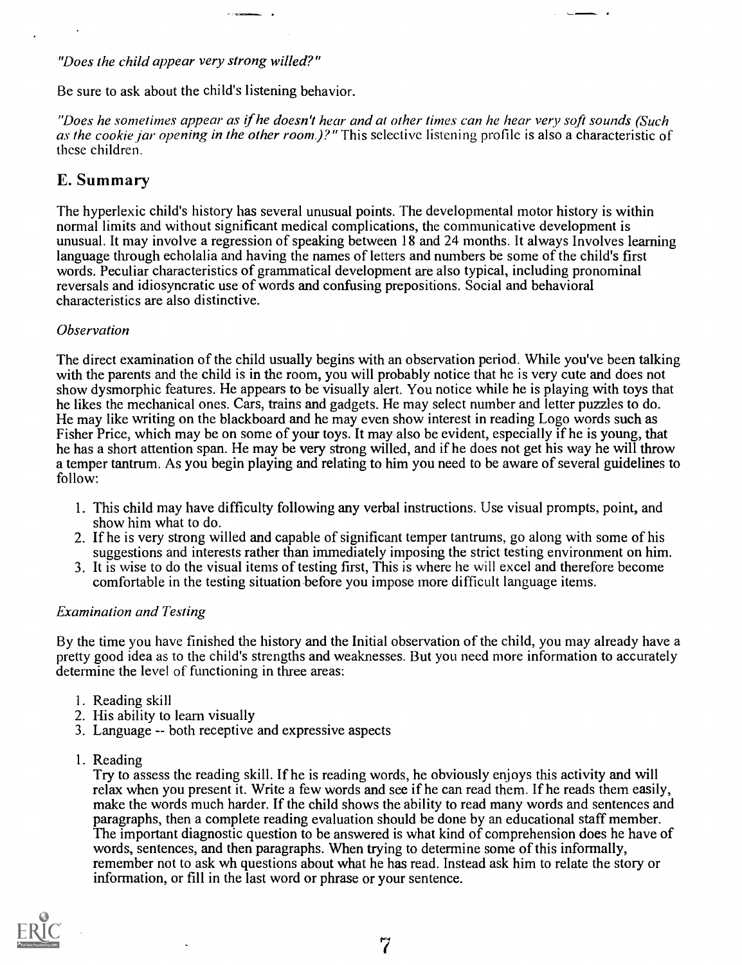#### "Does the child appear very strong willed?"

Be sure to ask about the child's listening behavior.

"Does he sometimes appear as if he doesn't hear and at other times can he hear very soft sounds (Such as the cookie jar opening in the other room.)?" This selective listening profile is also a characteristic of these children.

### E. Summary

The hyperlexic child's history has several unusual points. The developmental motor history is within normal limits and without significant medical complications, the communicative development is unusual. It may involve a regression of speaking between 18 and 24 months. It always Involves learning language through echolalia and having the names of letters and numbers be some of the child's first words. Peculiar characteristics of grammatical development are also typical, including pronominal reversals and idiosyncratic use of words and confusing prepositions. Social and behavioral characteristics are also distinctive.

#### **Observation**

The direct examination of the child usually begins with an observation period. While you've been talking with the parents and the child is in the room, you will probably notice that he is very cute and does not show dysmorphic features. He appears to be visually alert. You notice while he is playing with toys that he likes the mechanical ones. Cars, trains and gadgets. He may select number and letter puzzles to do. He may like writing on the blackboard and he may even show interest in reading Logo words such as Fisher Price, which may be on some of your toys. It may also be evident, especially if he is young, that he has a short attention span. He may be very strong willed, and if he does not get his way he will throw a temper tantrum. As you begin playing and relating to him you need to be aware of several guidelines to follow:

- 1. This child may have difficulty following any verbal instructions. Use visual prompts, point, and show him what to do.
- 2. If he is very strong willed and capable of significant temper tantrums, go along with some of his suggestions and interests rather than immediately imposing the strict testing environment on him.
- 3. It is wise to do the visual items of testing first, This is where he will excel and therefore become comfortable in the testing situation-before you impose more difficult language items.

#### Examination and Testing

By the time you have finished the history and the Initial observation of the child, you may already have a pretty good idea as to the child's strengths and weaknesses. But you need more information to accurately determine the level of functioning in three areas:

- 1. Reading skill
- 2. His ability to learn visually
- 3. Language -- both receptive and expressive aspects
- I. Reading

Try to assess the reading skill. If he is reading words, he obviously enjoys this activity and will relax when you present it. Write a few words and see if he can read them. If he reads them easily, make the words much harder. If the child shows the ability to read many words and sentences and paragraphs, then a complete reading evaluation should be done by an educational staff member. The important diagnostic question to be answered is what kind of comprehension does he have of words, sentences, and then paragraphs. When trying to determine some of this informally, remember not to ask wh questions about what he has read. Instead ask him to relate the story or information, or fill in the last word or phrase or your sentence.

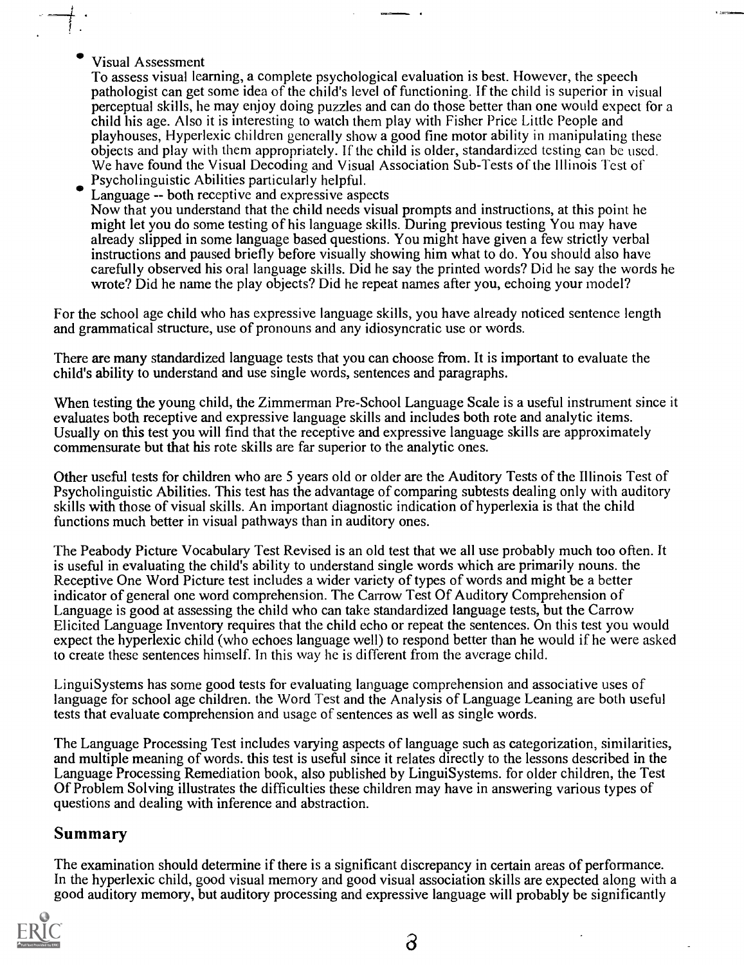Visual Assessment

To assess visual learning, a complete psychological evaluation is best. However, the speech pathologist can get some idea of the child's level of functioning. If the child is superior in visual perceptual skills, he may enjoy doing puzzles and can do those better than one would expect for a child his age. Also it is interesting to watch them play with Fisher Price Little People and playhouses, Hyperlexic children generally show a good fine motor ability in manipulating these objects and play with them appropriately. If the child is older, standardized testing can be used. We have found the Visual Decoding and Visual Association Sub-Tests of the Illinois Test of Psycholinguistic Abilities particularly helpful.

Language -- both receptive and expressive aspects Now that you understand that the child needs visual prompts and instructions, at this point he might let you do some testing of his language skills. During previous testing You may have already slipped in some language based questions. You might have given a few strictly verbal instructions and paused briefly before visually showing him what to do. You should also have carefully observed his oral language skills. Did he say the printed words? Did he say the words he wrote? Did he name the play objects? Did he repeat names after you, echoing your model?

For the school age child who has expressive language skills, you have already noticed sentence length and grammatical structure, use of pronouns and any idiosyncratic use or words.

There are many standardized language tests that you can choose from. It is important to evaluate the child's ability to understand and use single words, sentences and paragraphs.

When testing the young child, the Zimmerman Pre-School Language Scale is a useful instrument since it evaluates both receptive and expressive language skills and includes both rote and analytic items. Usually on this test you will find that the receptive and expressive language skills are approximately commensurate but that his rote skills are far superior to the analytic ones.

Other useful tests for children who are 5 years old or older are the Auditory Tests of the Illinois Test of Psycholinguistic Abilities. This test has the advantage of comparing subtests dealing only with auditory skills with those of visual skills. An important diagnostic indication of hyperlexia is that the child functions much better in visual pathways than in auditory ones.

The Peabody Picture Vocabulary Test Revised is an old test that we all use probably much too often. It is useful in evaluating the child's ability to understand single words which are primarily nouns. the Receptive One Word Picture test includes a wider variety of types of words and might be a better indicator of general one word comprehension. The Carrow Test Of Auditory Comprehension of Language is good at assessing the child who can take standardized language tests, but the Carrow Elicited Language Inventory requires that the child echo or repeat the sentences. On this test you would expect the hyperlexic child (who echoes language well) to respond better than he would if he were asked to create these sentences himself. In this way he is different from the average child.

LinguiSystems has some good tests for evaluating language comprehension and associative uses of language for school age children. the Word Test and the Analysis of Language Leaning are both useful tests that evaluate comprehension and usage of sentences as well as single words.

The Language Processing Test includes varying aspects of language such as categorization, similarities, and multiple meaning of words. this test is useful since it relates directly to the lessons described in the Language Processing Remediation book, also published by LinguiSystems. for older children, the Test Of Problem Solving illustrates the difficulties these children may have in answering various types of questions and dealing with inference and abstraction.

### Summary

The examination should determine if there is a significant discrepancy in certain areas of performance. In the hyperlexic child, good visual memory and good visual association skills are expected along with a good auditory memory, but auditory processing and expressive language will probably be significantly

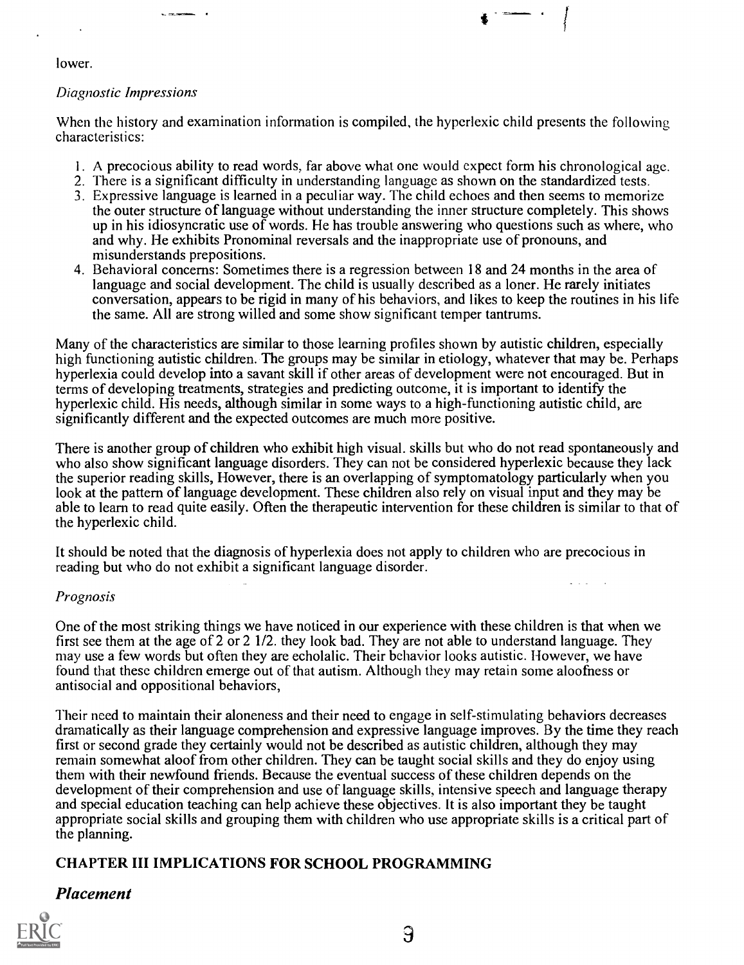lower.

#### Diagnostic Impressions

 $\mathbf{v}_i$  cannot

When the history and examination information is compiled, the hyperlexic child presents the following characteristics:

- I. A precocious ability to read words, far above what one would expect form his chronological age.
- 2. There is a significant difficulty in understanding language as shown on the standardized tests.
- 3. Expressive language is learned in a peculiar way. The child echoes and then seems to memorize the outer structure of language without understanding the inner structure completely. This shows up in his idiosyncratic use of words. He has trouble answering who questions such as where, who and why. He exhibits Pronominal reversals and the inappropriate use of pronouns, and misunderstands prepositions.
- 4. Behavioral concerns: Sometimes there is a regression between l 8 and 24 months in the area of language and social development. The child is usually described as a loner. He rarely initiates conversation, appears to be rigid in many of his behaviors, and likes to keep the routines in his life the same. All are strong willed and some show significant temper tantrums.

Many of the characteristics are similar to those learning profiles shown by autistic children, especially high functioning autistic children. The groups may be similar in etiology, whatever that may be. Perhaps hyperlexia could develop into a savant skill if other areas of development were not encouraged. But in terms of developing treatments, strategies and predicting outcome, it is important to identify the hyperlexic child. His needs, although similar in some ways to a high-functioning autistic child, are significantly different and the expected outcomes are much more positive.

There is another group of children who exhibit high visual, skills but who do not read spontaneously and who also show significant language disorders. They can not be considered hyperlexic because they lack the superior reading skills, However, there is an overlapping of symptornatology particularly when you look at the pattern of language development. These children also rely on visual input and they may be able to learn to read quite easily. Often the therapeutic intervention for these children is similar to that of the hyperlexic child.

It should be noted that the diagnosis of hyperlexia does not apply to children who are precocious in reading but who do not exhibit a significant language disorder.

#### Prognosis

One of the most striking things we have noticed in our experience with these children is that when we first see them at the age of 2 or 2 1/2. they look bad. They are not able to understand language. They may use a few words but often they are echolalic. Their behavior looks autistic. However, we have found that these children emerge out of that autism. Although they may retain some aloofness or antisocial and oppositional behaviors,

Their need to maintain their aloneness and their need to engage in self-stimulating behaviors decreases dramatically as their language comprehension and expressive language improves. By the time they reach first or second grade they certainly would not be described as autistic children, although they may remain somewhat aloof from other children. They can be taught social skills and they do enjoy using them with their newfound friends. Because the eventual success of these children depends on the development of their comprehension and use of language skills, intensive speech and language therapy and special education teaching can help achieve these objectives. It is also important they be taught appropriate social skills and grouping them with children who use appropriate skills is a critical part of the planning.

### CHAPTER III IMPLICATIONS FOR SCHOOL PROGRAMMING

#### Placement

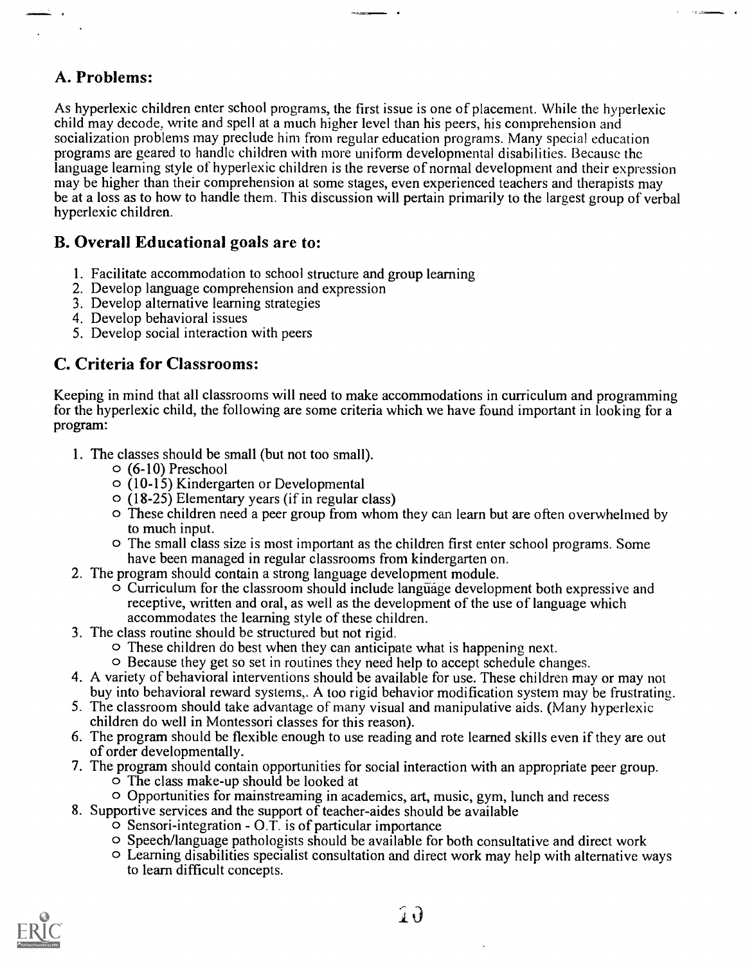### A. Problems:

As hyperlexic children enter school programs, the first issue is one of placement. While the hyperlexic child may decode, write and spell at a much higher level than his peers, his comprehension and socialization problems may preclude him from regular education programs. Many special education programs are geared to handle children with more uniform developmental disabilities. Because the language learning style of hyperlexic children is the reverse of normal development and their expression may be higher than their comprehension at some stages, even experienced teachers and therapists may be at a loss as to how to handle them. This discussion will pertain primarily to the largest group of verbal hyperlexic children.

### B. Overall Educational goals are to:

- 1. Facilitate accommodation to school structure and group learning
- 2. Develop language comprehension and expression
- 3. Develop alternative learning strategies
- 4. Develop behavioral issues
- 5. Develop social interaction with peers

### C. Criteria for Classrooms:

Keeping in mind that all classrooms will need to make accommodations in curriculum and programming for the hyperlexic child, the following are some criteria which we have found important in looking for a program:

- 1. The classes should be small (but not too small).
	- o (6-10) Preschool
	- o (10-15) Kindergarten or Developmental
	- $\circ$  (18-25) Elementary years (if in regular class)
	- O These children need a peer group from whom they can learn but are often overwhelmed by to much input.
	- O The small class size is most important as the children first enter school programs. Some have been managed in regular classrooms from kindergarten on.
- 2. The program should contain a strong language development module.
	- $\circ$  Curriculum for the classroom should include language development both expressive and receptive, written and oral, as well as the development of the use of language which accommodates the learning style of these children.
- 3. The class routine should be structured but not rigid.
	- O These children do best when they can anticipate what is happening next.
	- o Because they get so set in routines they need help to accept schedule changes.
- 4. A variety of behavioral interventions should be available for use. These children may or may not buy into behavioral reward systems,. A too rigid behavior modification system may be frustrating,.
- 5. The classroom should take advantage of many visual and manipulative aids. (Many hyperlexic children do well in Montessori classes for this reason).
- 6. The program should be flexible enough to use reading and rote learned skills even if they are out of order developmentally.
- 7. The program should contain opportunities for social interaction with an appropriate peer group.
	- O The class make-up should be looked at
	- O Opportunities for mainstreaming in academics, art, music, gym, lunch and recess
- 8. Supportive services and the support of teacher-aides should be available
	- $\circ$  Sensori-integration O.T. is of particular importance
	- O Speech/language pathologists should be available for both consultative and direct work
	- O Learning disabilities specialist consultation and direct work may help with alternative ways to learn difficult concepts.

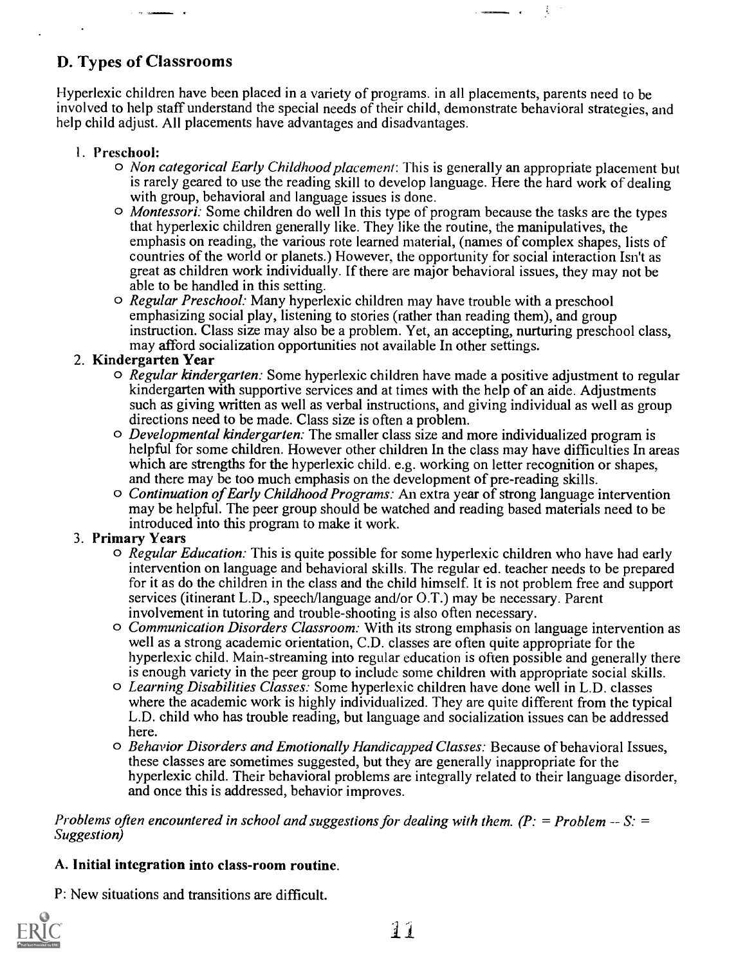### D. Types of Classrooms

Hyperlexic children have been placed in a variety of programs. in all placements, parents need to be involved to help staff understand the special needs of their child, demonstrate behavioral strategies, and help child adjust. All placements have advantages and disadvantages.

#### I. Preschool:

 $\circ$  *Non categorical Early Childhood placement:* This is generally an appropriate placement but is rarely geared to use the reading skill to develop language. Here the hard work of dealing with group, behavioral and language issues is done.

Ă,

- o Montessori: Some children do well In this type of program because the tasks are the types that hyperlexic children generally like. They like the routine, the manipulatives, the emphasis on reading, the various rote learned material, (names of complex shapes, lists of countries of the world or planets.) However, the opportunity for social interaction Isn't as great as children work individually. If there are major behavioral issues, they may not be able to be handled in this setting.
- o Regular Preschool: Many hyperlexic children may have trouble with a preschool emphasizing social play, listening to stories (rather than reading them), and group instruction. Class size may also be a problem. Yet, an accepting, nurturing preschool class, may afford socialization opportunities not available In other settings.

#### 2. Kindergarten Year

- $\circ$  Regular kindergarten: Some hyperlexic children have made a positive adjustment to regular kindergarten with supportive services and at times with the help of an aide. Adjustments such as giving written as well as verbal instructions, and giving individual as well as group directions need to be made. Class size is often a problem.
- $\circ$  *Developmental kindergarten:* The smaller class size and more individualized program is helpful for some children. However other children In the class may have difficulties In areas which are strengths for the hyperlexic child. e.g. working on letter recognition or shapes, and there may be too much emphasis on the development of pre-reading skills.
- o Continuation of Early Childhood Programs: An extra year of strong language intervention may be helpful. The peer group should be watched and reading based materials need to be introduced into this program to make it work.

#### 3. Primary Years

- $\circ$  Regular Education: This is quite possible for some hyperlexic children who have had early intervention on language and behavioral skills. The regular ed. teacher needs to be prepared for it as do the children in the class and the child himself. It is not problem free and support services (itinerant L.D., speech/language and/or 0.T.) may be necessary. Parent involvement in tutoring and trouble-shooting is also often necessary.
- O Communication Disorders Classroom: With its strong emphasis on language intervention as well as a strong academic orientation, C.D. classes are often quite appropriate for the hyperlexic child. Main-streaming into regular education is often possible and generally there is enough variety in the peer group to include some children with appropriate social skills.
- O Learning Disabilities Classes: Some hyperlexic children have done well in L.D. classes where the academic work is highly individualized. They are quite different from the typical L.D. child who has trouble reading, but language and socialization issues can be addressed here.
- o Behavior Disorders and Emotionally Handicapped Classes: Because of behavioral Issues, these classes are sometimes suggested, but they are generally inappropriate for the hyperlexic child. Their behavioral problems are integrally related to their language disorder, and once this is addressed, behavior improves.

Problems often encountered in school and suggestions for dealing with them.  $(P_i = Problem - S_i =$ Suggestion)

#### A. Initial integration into class-room routine.

P: New situations and transitions are difficult.

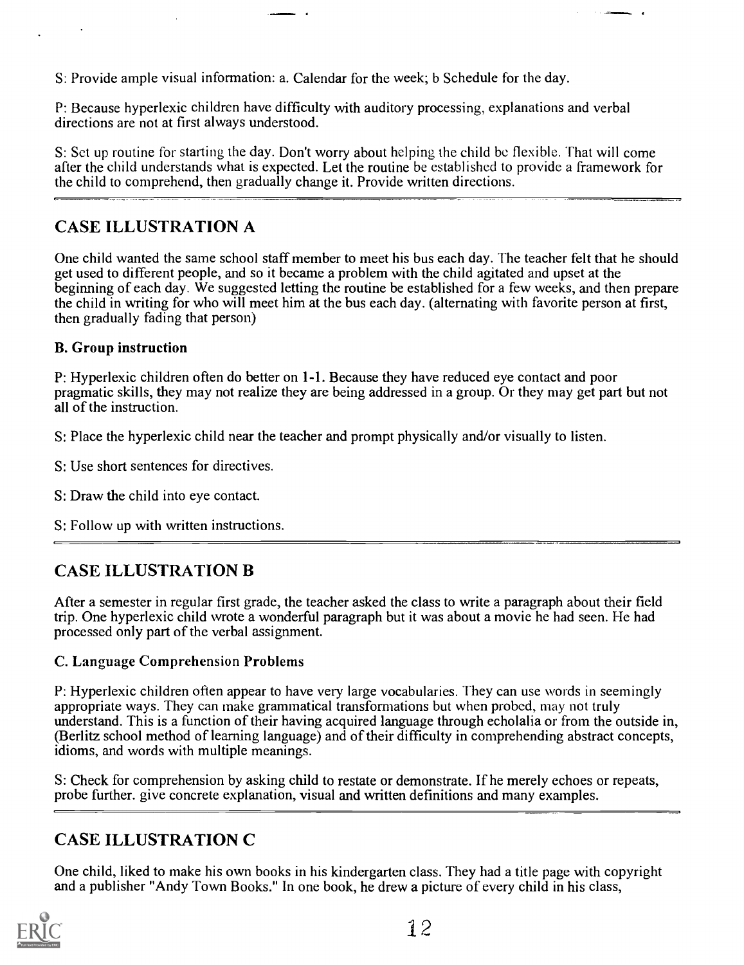S: Provide ample visual information: a. Calendar for the week; b Schedule for the day.

P: Because hyperlexic children have difficulty with auditory processing, explanations and verbal directions are not at first always understood.

S: Set up routine for starting the day. Don't worry about helping the child be flexible. That will come after the child understands what is expected. Let the routine be established to provide a framework for the child to comprehend, then gradually change it. Provide written directions.

### CASE ILLUSTRATION A

One child wanted the same school staff member to meet his bus each day. The teacher felt that he should get used to different people, and so it became a problem with the child agitated and upset at the beginning of each day. We suggested letting the routine be established for a few weeks, and then prepare the child in writing for who will meet him at the bus each day. (alternating with favorite person at first, then gradually fading that person)

### B. Group instruction

P: Hyperlexic children often do better on 1-1. Because they have reduced eye contact and poor pragmatic skills, they may not realize they are being addressed in a group. Or they may get part but not all of the instruction.

S: Place the hyperlexic child near the teacher and prompt physically and/or visually to listen.

S: Use short sentences for directives.

S: Draw the child into eye contact.

S: Follow up with written instructions.

## CASE ILLUSTRATION B

After a semester in regular first grade, the teacher asked the class to write a paragraph about their field trip. One hyperlexic child wrote a wonderful paragraph but it was about a movie he had seen. He had processed only part of the verbal assignment.

### C. Language Comprehension Problems

P: Hyperlexic children often appear to have very large vocabularies. They can use words in seemingly appropriate ways. They can make grammatical transformations but when probed, may not truly understand. This is a function of their having acquired language through echolalia or from the outside in, (Berlitz school method of learning language) and of their difficulty in comprehending abstract concepts, idioms, and words with multiple meanings.

S: Check for comprehension by asking child to restate or demonstrate. If he merely echoes or repeats, probe further. give concrete explanation, visual and written definitions and many examples.

### CASE ILLUSTRATION C

One child, liked to make his own books in his kindergarten class. They had a title page with copyright and a publisher "Andy Town Books." In one book, he drew a picture of every child in his class,

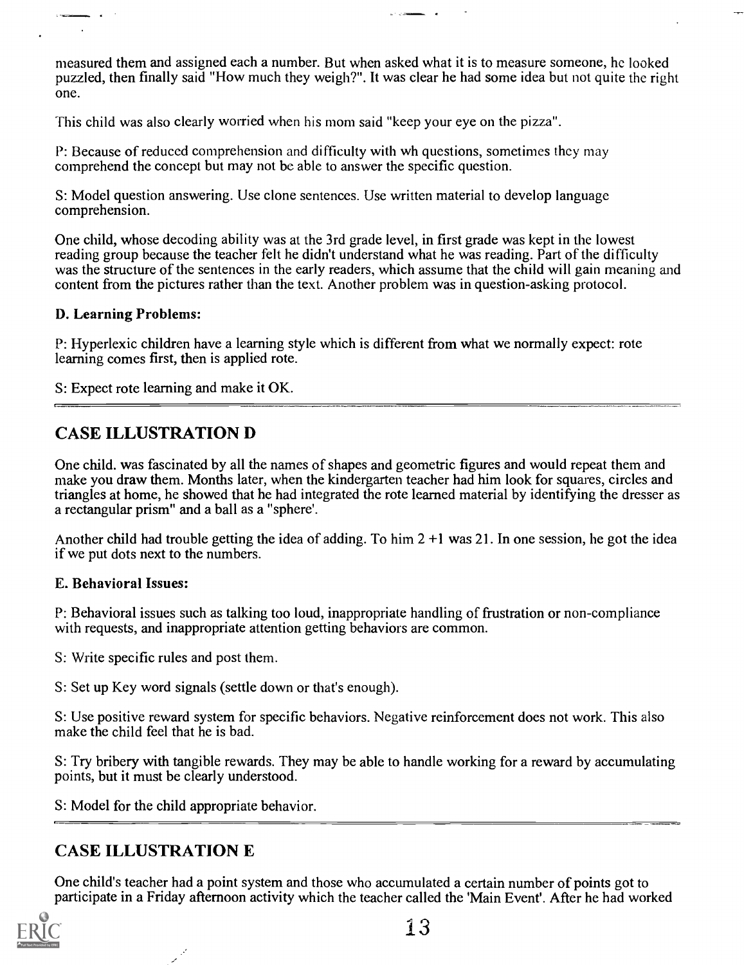measured them and assigned each a number. But when asked what it is to measure someone, he looked puzzled, then finally said "How much they weigh?". It was clear he had some idea but not quite the right one.

This child was also clearly worried when his mom said "keep your eye on the pizza".

P: Because of reduced comprehension and difficulty with wh questions, sometimes they may comprehend the concept but may not be able to answer the specific question.

S: Model question answering. Use clone sentences. Use written material to develop language comprehension.

One child, whose decoding ability was at the 3rd grade level, in first grade was kept in the lowest reading group because the teacher felt he didn't understand what he was reading. Part of the difficulty was the structure of the sentences in the early readers, which assume that the child will gain meaning and content from the pictures rather than the text. Another problem was in question-asking protocol.

#### D. Learning Problems:

P: Hyperlexic children have a learning style which is different from what we normally expect: rote learning comes first, then is applied rote.

S: Expect rote learning and make it OK.

### CASE ILLUSTRATION D

One child, was fascinated by all the names of shapes and geometric figures and would repeat them and make you draw them. Months later, when the kindergarten teacher had him look for squares, circles and triangles at home, he showed that he had integrated the rote learned material by identifying the dresser as a rectangular prism" and a ball as a "sphere'.

Another child had trouble getting the idea of adding. To him  $2 + 1$  was 21. In one session, he got the idea if we put dots next to the numbers.

#### E. Behavioral Issues:

P: Behavioral issues such as talking too loud, inappropriate handling of frustration or non-compliance with requests, and inappropriate attention getting behaviors are common.

S: Write specific rules and post them.

S: Set up Key word signals (settle down or that's enough).

S: Use positive reward system for specific behaviors. Negative reinforcement does not work. This also make the child feel that he is bad.

S: Try bribery with tangible rewards. They may be able to handle working for a reward by accumulating points, but it must be clearly understood.

S: Model for the child appropriate behavior.

### CASE ILLUSTRATION E

One child's teacher had a point system and those who accumulated a certain number of points got to participate in a Friday afternoon activity which the teacher called the 'Main Event'. After he had worked

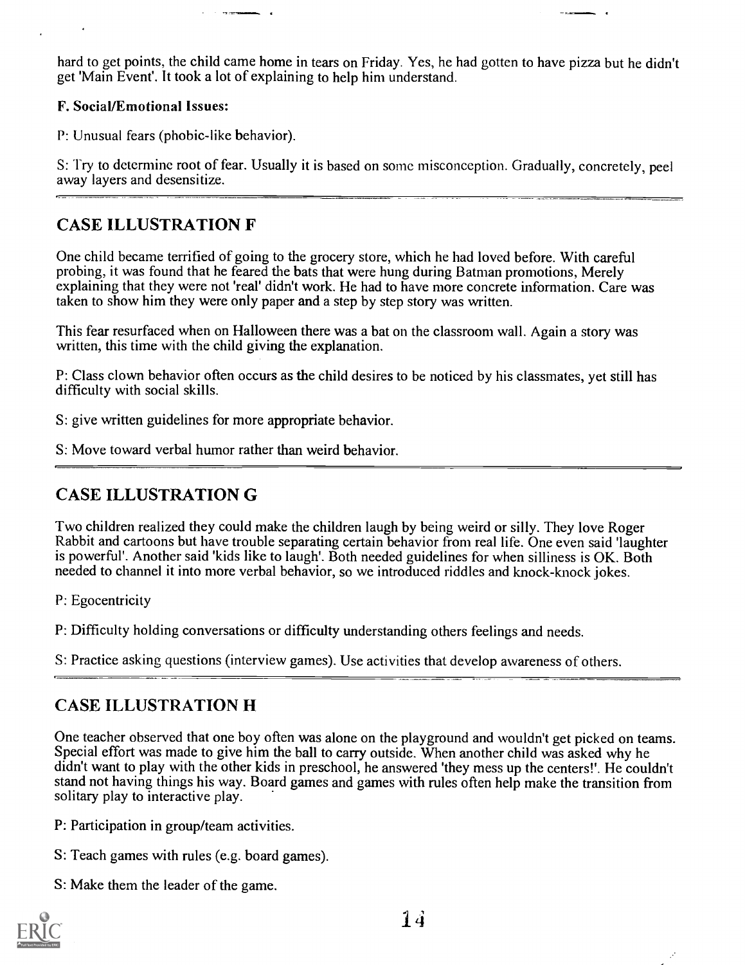hard to get points, the child came home in tears on Friday. Yes, he had gotten to have pizza but he didn't get 'Main Event'. It took a lot of explaining to help him understand.

### F. Social/Emotional Issues:

P: Unusual fears (phobic-like behavior).

S: Try to determine root of fear. Usually it is based on some misconception. Gradually, concretely, peel away layers and desensitize.

### CASE ILLUSTRATION F

One child became terrified of going to the grocery store, which he had loved before. With careful probing, it was found that he feared the bats that were hung during Batman promotions, Merely explaining that they were not 'real' didn't work. He had to have more concrete information. Care was taken to show him they were only paper and a step by step story was written.

This fear resurfaced when on Halloween there was a bat on the classroom wall. Again a story was written, this time with the child giving the explanation.

P: Class clown behavior often occurs as the child desires to be noticed by his classmates, yet still has difficulty with social skills.

S: give written guidelines for more appropriate behavior.

S: Move toward verbal humor rather than weird behavior.

## CASE ILLUSTRATION G

Two children realized they could make the children laugh by being weird or silly. They love Roger Rabbit and cartoons but have trouble separating certain behavior from real life. One even said 'laughter is powerful'. Another said 'kids like to laugh'. Both needed guidelines for when silliness is OK. Both needed to channel it into more verbal behavior, so we introduced riddles and knock-knock jokes.

P: Egocentricity

P: Difficulty holding conversations or difficulty understanding others feelings and needs.

S: Practice asking questions (interview games). Use activities that develop awareness of others.

## CASE ILLUSTRATION H

One teacher observed that one boy often was alone on the playground and wouldn't get picked on teams. Special effort was made to give him the ball to carry outside. When another child was asked why he didn't want to play with the other kids in preschool, he answered 'they mess up the centers!'. He couldn't stand not having things his way. Board games and games with rules often help make the transition from solitary play to interactive play.

P: Participation in group/team activities.

- S: Teach games with rules (e.g. board games).
- S: Make them the leader of the game.

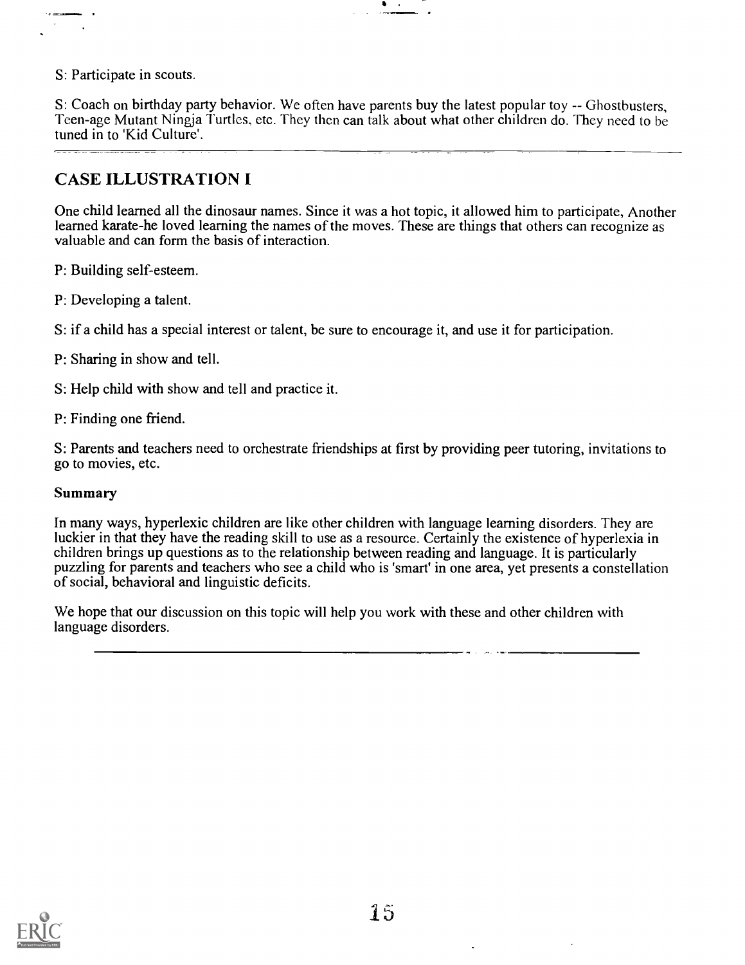S: Participate in scouts.

S: Coach on birthday party behavior. We often have parents buy the latest popular toy -- Ghostbusters, Teen-age Mutant Ningja Turtles, etc. They then can talk about what other children do. They need to be tuned in to 'Kid Culture'.

 $\bullet$  .

### CASE ILLUSTRATION I

One child learned all the dinosaur names. Since it was a hot topic, it allowed him to participate, Another learned karate-he loved learning the names of the moves. These are things that others can recognize as valuable and can form the basis of interaction.

P: Building self-esteem.

P: Developing a talent.

S: if a child has a special interest or talent, be sure to encourage it, and use it for participation.

- P: Sharing in show and tell.
- S: Help child with show and tell and practice it.
- P: Finding one friend.

S: Parents and teachers need to orchestrate friendships at first by providing peer tutoring, invitations to go to movies, etc.

#### Summary

In many ways, hyperlexic children are like other children with language learning disorders. They are luckier in that they have the reading skill to use as a resource. Certainly the existence of hyperlexia in children brings up questions as to the relationship between reading and language. It is particularly puzzling for parents and teachers who see a child who is 'smart' in one area, yet presents a constellation of social, behavioral and linguistic deficits.

We hope that our discussion on this topic will help you work with these and other children with language disorders.